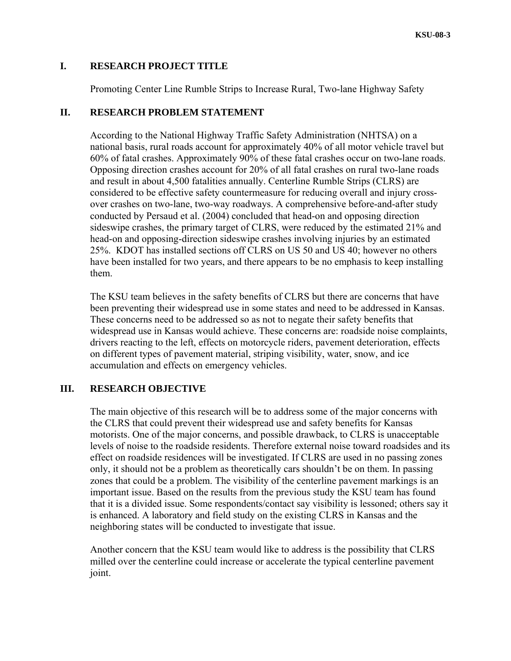#### **I. RESEARCH PROJECT TITLE**

Promoting Center Line Rumble Strips to Increase Rural, Two-lane Highway Safety

#### **II. RESEARCH PROBLEM STATEMENT**

According to the National Highway Traffic Safety Administration (NHTSA) on a national basis, rural roads account for approximately 40% of all motor vehicle travel but 60% of fatal crashes. Approximately 90% of these fatal crashes occur on two-lane roads. Opposing direction crashes account for 20% of all fatal crashes on rural two-lane roads and result in about 4,500 fatalities annually. Centerline Rumble Strips (CLRS) are considered to be effective safety countermeasure for reducing overall and injury crossover crashes on two-lane, two-way roadways. A comprehensive before-and-after study conducted by Persaud et al. (2004) concluded that head-on and opposing direction sideswipe crashes, the primary target of CLRS, were reduced by the estimated 21% and head-on and opposing-direction sideswipe crashes involving injuries by an estimated 25%. KDOT has installed sections off CLRS on US 50 and US 40; however no others have been installed for two years, and there appears to be no emphasis to keep installing them.

The KSU team believes in the safety benefits of CLRS but there are concerns that have been preventing their widespread use in some states and need to be addressed in Kansas. These concerns need to be addressed so as not to negate their safety benefits that widespread use in Kansas would achieve. These concerns are: roadside noise complaints, drivers reacting to the left, effects on motorcycle riders, pavement deterioration, effects on different types of pavement material, striping visibility, water, snow, and ice accumulation and effects on emergency vehicles.

### **III. RESEARCH OBJECTIVE**

The main objective of this research will be to address some of the major concerns with the CLRS that could prevent their widespread use and safety benefits for Kansas motorists. One of the major concerns, and possible drawback, to CLRS is unacceptable levels of noise to the roadside residents. Therefore external noise toward roadsides and its effect on roadside residences will be investigated. If CLRS are used in no passing zones only, it should not be a problem as theoretically cars shouldn't be on them. In passing zones that could be a problem. The visibility of the centerline pavement markings is an important issue. Based on the results from the previous study the KSU team has found that it is a divided issue. Some respondents/contact say visibility is lessoned; others say it is enhanced. A laboratory and field study on the existing CLRS in Kansas and the neighboring states will be conducted to investigate that issue.

Another concern that the KSU team would like to address is the possibility that CLRS milled over the centerline could increase or accelerate the typical centerline pavement joint.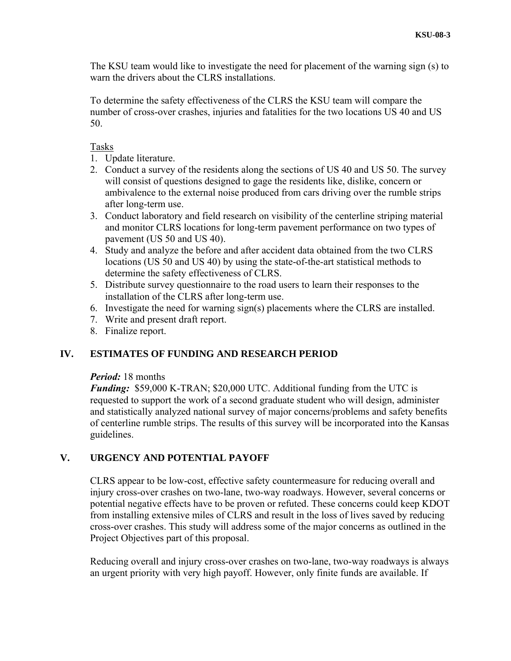The KSU team would like to investigate the need for placement of the warning sign (s) to warn the drivers about the CLRS installations.

To determine the safety effectiveness of the CLRS the KSU team will compare the number of cross-over crashes, injuries and fatalities for the two locations US 40 and US 50.

### Tasks

- 1. Update literature.
- 2. Conduct a survey of the residents along the sections of US 40 and US 50. The survey will consist of questions designed to gage the residents like, dislike, concern or ambivalence to the external noise produced from cars driving over the rumble strips after long-term use.
- 3. Conduct laboratory and field research on visibility of the centerline striping material and monitor CLRS locations for long-term pavement performance on two types of pavement (US 50 and US 40).
- 4. Study and analyze the before and after accident data obtained from the two CLRS locations (US 50 and US 40) by using the state-of-the-art statistical methods to determine the safety effectiveness of CLRS.
- 5. Distribute survey questionnaire to the road users to learn their responses to the installation of the CLRS after long-term use.
- 6. Investigate the need for warning sign(s) placements where the CLRS are installed.
- 7. Write and present draft report.
- 8. Finalize report.

# **IV. ESTIMATES OF FUNDING AND RESEARCH PERIOD**

### *Period:* 18 months

*Funding:* \$59,000 K-TRAN; \$20,000 UTC. Additional funding from the UTC is requested to support the work of a second graduate student who will design, administer and statistically analyzed national survey of major concerns/problems and safety benefits of centerline rumble strips. The results of this survey will be incorporated into the Kansas guidelines.

# **V. URGENCY AND POTENTIAL PAYOFF**

CLRS appear to be low-cost, effective safety countermeasure for reducing overall and injury cross-over crashes on two-lane, two-way roadways. However, several concerns or potential negative effects have to be proven or refuted. These concerns could keep KDOT from installing extensive miles of CLRS and result in the loss of lives saved by reducing cross-over crashes. This study will address some of the major concerns as outlined in the Project Objectives part of this proposal.

Reducing overall and injury cross-over crashes on two-lane, two-way roadways is always an urgent priority with very high payoff. However, only finite funds are available. If